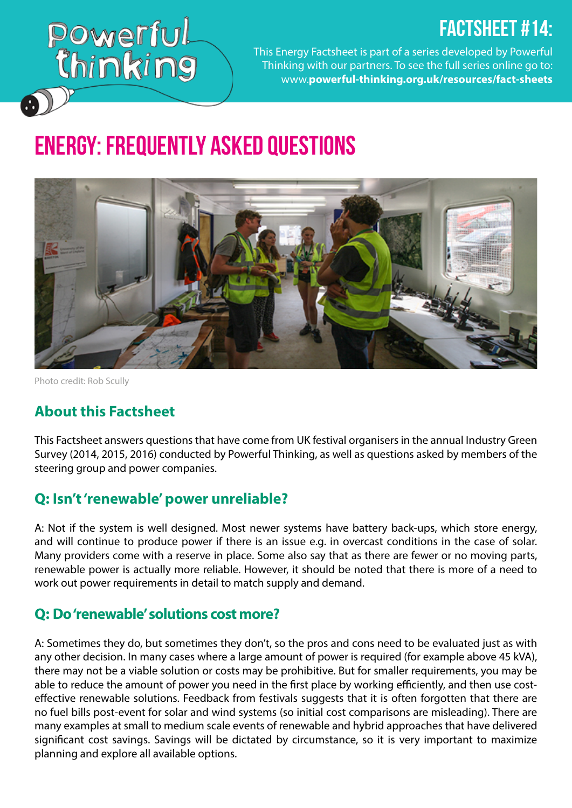# FACTSHEET #14:

Powerful<br>Chinking

This Energy Factsheet is part of a series developed by Powerful Thinking with our partners. To see the full series online go to: www.**[powerful-thinking.org.uk/resources/fact-sheets](http://powerful-thinking.org.uk/resources/fact-sheets)**

# Energy: Frequently Asked Questions



Photo credit: Rob Scully

#### **About this Factsheet**

This Factsheet answers questions that have come from UK festival organisers in the annual Industry Green Survey (2014, 2015, 2016) conducted by Powerful Thinking, as well as questions asked by members of the steering group and power companies.

#### **Q: Isn't 'renewable' power unreliable?**

A: Not if the system is well designed. Most newer systems have battery back-ups, which store energy, and will continue to produce power if there is an issue e.g. in overcast conditions in the case of solar. Many providers come with a reserve in place. Some also say that as there are fewer or no moving parts, renewable power is actually more reliable. However, it should be noted that there is more of a need to work out power requirements in detail to match supply and demand.

#### **Q: Do 'renewable' solutions cost more?**

A: Sometimes they do, but sometimes they don't, so the pros and cons need to be evaluated just as with any other decision. In many cases where a large amount of power is required (for example above 45 kVA), there may not be a viable solution or costs may be prohibitive. But for smaller requirements, you may be able to reduce the amount of power you need in the first place by working efficiently, and then use costeffective renewable solutions. Feedback from festivals suggests that it is often forgotten that there are no fuel bills post-event for solar and wind systems (so initial cost comparisons are misleading). There are many examples at small to medium scale events of renewable and hybrid approaches that have delivered significant cost savings. Savings will be dictated by circumstance, so it is very important to maximize planning and explore all available options.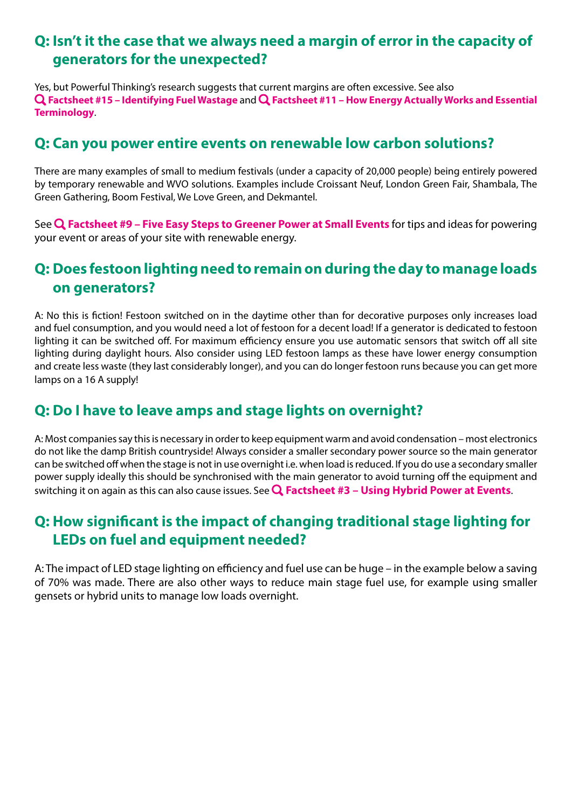#### **Q: Isn't it the case that we always need a margin of error in the capacity of generators for the unexpected?**

Yes, but Powerful Thinking's research suggests that current margins are often excessive. See also **[Factsheet #15 – Identifying Fuel Wastage](http://www.powerful-thinking.org.uk/factsheet/identifying-fuel-wastage/)** and **[Factsheet #11 – How Energy Actually Works and Essential](http://www.powerful-thinking.org.uk/factsheet/how-energy-actually-works/) [Terminology](http://www.powerful-thinking.org.uk/factsheet/how-energy-actually-works/)**.

#### **Q: Can you power entire events on renewable low carbon solutions?**

There are many examples of small to medium festivals (under a capacity of 20,000 people) being entirely powered by temporary renewable and WVO solutions. Examples include Croissant Neuf, London Green Fair, Shambala, The Green Gathering, Boom Festival, We Love Green, and Dekmantel.

See **[Factsheet #9 – Five Easy Steps to Greener Power at Small Events](http://www.powerful-thinking.org.uk/factsheet/9-five-easy-steps-greener-power-small-events/)** for tips and ideas for powering your event or areas of your site with renewable energy.

#### **Q: Does festoon lighting need to remain on during the day to manage loads on generators?**

A: No this is fiction! Festoon switched on in the daytime other than for decorative purposes only increases load and fuel consumption, and you would need a lot of festoon for a decent load! If a generator is dedicated to festoon lighting it can be switched off. For maximum efficiency ensure you use automatic sensors that switch off all site lighting during daylight hours. Also consider using LED festoon lamps as these have lower energy consumption and create less waste (they last considerably longer), and you can do longer festoon runs because you can get more lamps on a 16 A supply!

#### **Q: Do I have to leave amps and stage lights on overnight?**

A: Most companies say this is necessary in order to keep equipment warm and avoid condensation – most electronics do not like the damp British countryside! Always consider a smaller secondary power source so the main generator can be switched off when the stage is not in use overnight i.e. when load is reduced. If you do use a secondary smaller power supply ideally this should be synchronised with the main generator to avoid turning off the equipment and switching it on again as this can also cause issues. See **[Factsheet #3 – Using Hybrid Power at Events](http://www.powerful-thinking.org.uk/factsheet/hybrid-solargenerator-power/)**.

#### **Q: How significant is the impact of changing traditional stage lighting for LEDs on fuel and equipment needed?**

A: The impact of LED stage lighting on efficiency and fuel use can be huge – in the example below a saving of 70% was made. There are also other ways to reduce main stage fuel use, for example using smaller gensets or hybrid units to manage low loads overnight.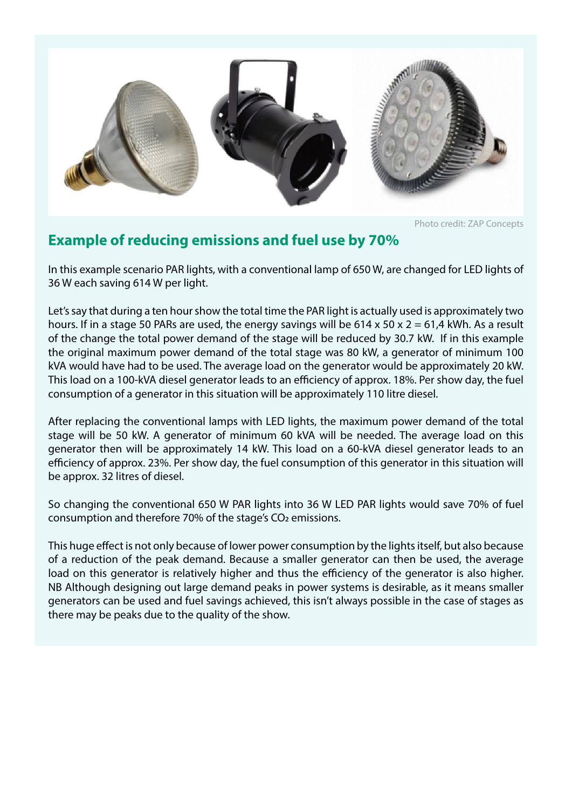

Photo credit: ZAP Concepts

#### **Example of reducing emissions and fuel use by 70%**

In this example scenario PAR lights, with a conventional lamp of 650 W, are changed for LED lights of 36 W each saving 614 W per light.

Let's say that during a ten hour show the total time the PAR light is actually used is approximately two hours. If in a stage 50 PARs are used, the energy savings will be 614 x 50 x 2 = 61,4 kWh. As a result of the change the total power demand of the stage will be reduced by 30.7 kW. If in this example the original maximum power demand of the total stage was 80 kW, a generator of minimum 100 kVA would have had to be used. The average load on the generator would be approximately 20 kW. This load on a 100-kVA diesel generator leads to an efficiency of approx. 18%. Per show day, the fuel consumption of a generator in this situation will be approximately 110 litre diesel.

After replacing the conventional lamps with LED lights, the maximum power demand of the total stage will be 50 kW. A generator of minimum 60 kVA will be needed. The average load on this generator then will be approximately 14 kW. This load on a 60-kVA diesel generator leads to an efficiency of approx. 23%. Per show day, the fuel consumption of this generator in this situation will be approx. 32 litres of diesel.

So changing the conventional 650 W PAR lights into 36 W LED PAR lights would save 70% of fuel consumption and therefore 70% of the stage's CO2 emissions.

This huge effect is not only because of lower power consumption by the lights itself, but also because of a reduction of the peak demand. Because a smaller generator can then be used, the average load on this generator is relatively higher and thus the efficiency of the generator is also higher. NB Although designing out large demand peaks in power systems is desirable, as it means smaller generators can be used and fuel savings achieved, this isn't always possible in the case of stages as there may be peaks due to the quality of the show.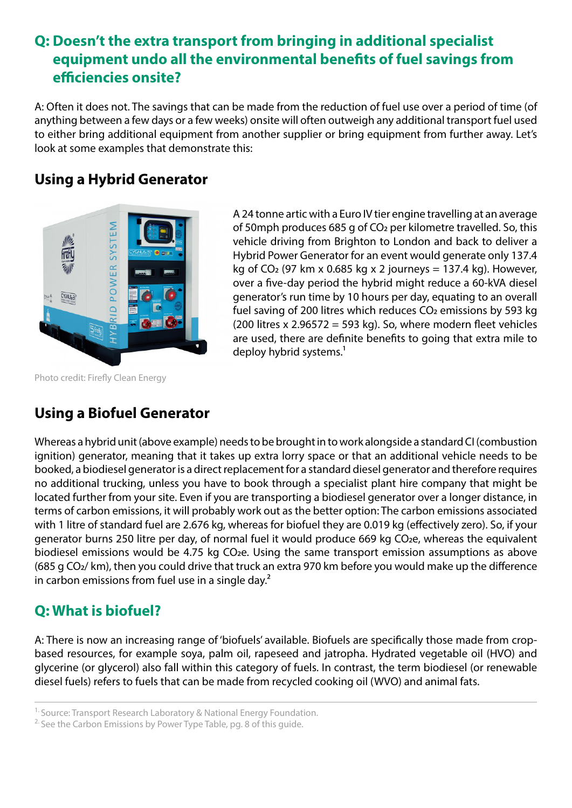#### **Q: Doesn't the extra transport from bringing in additional specialist equipment undo all the environmental benefits of fuel savings from efficiencies onsite?**

A: Often it does not. The savings that can be made from the reduction of fuel use over a period of time (of anything between a few days or a few weeks) onsite will often outweigh any additional transport fuel used to either bring additional equipment from another supplier or bring equipment from further away. Let's look at some examples that demonstrate this:

#### **Using a Hybrid Generator**



Photo credit: Firefly Clean Energy

A 24 tonne artic with a Euro IV tier engine travelling at an average of 50mph produces 685 g of CO2 per kilometre travelled. So, this vehicle driving from Brighton to London and back to deliver a Hybrid Power Generator for an event would generate only 137.4 kg of  $CO<sub>2</sub>$  (97 km x 0.685 kg x 2 journeys = 137.4 kg). However, over a five-day period the hybrid might reduce a 60-kVA diesel generator's run time by 10 hours per day, equating to an overall fuel saving of 200 litres which reduces CO<sub>2</sub> emissions by 593 kg (200 litres x 2.96572 = 593 kg). So, where modern fleet vehicles are used, there are definite benefits to going that extra mile to deploy hybrid systems.<sup>1</sup>

## **Using a Biofuel Generator**

Whereas a hybrid unit (above example) needs to be brought in to work alongside a standard CI (combustion ignition) generator, meaning that it takes up extra lorry space or that an additional vehicle needs to be booked, a biodiesel generator is a direct replacement for a standard diesel generator and therefore requires no additional trucking, unless you have to book through a specialist plant hire company that might be located further from your site. Even if you are transporting a biodiesel generator over a longer distance, in terms of carbon emissions, it will probably work out as the better option: The carbon emissions associated with 1 litre of standard fuel are 2.676 kg, whereas for biofuel they are 0.019 kg (effectively zero). So, if your generator burns 250 litre per day, of normal fuel it would produce 669 kg CO2e, whereas the equivalent biodiesel emissions would be 4.75 kg CO<sub>2</sub>e. Using the same transport emission assumptions as above (685 g CO2/ km), then you could drive that truck an extra 970 km before you would make up the difference in carbon emissions from fuel use in a single day.<sup>2</sup>

## **Q: What is biofuel?**

A: There is now an increasing range of 'biofuels' available. Biofuels are specifically those made from cropbased resources, for example soya, palm oil, rapeseed and jatropha. Hydrated vegetable oil (HVO) and glycerine (or glycerol) also fall within this category of fuels. In contrast, the term biodiesel (or renewable diesel fuels) refers to fuels that can be made from recycled cooking oil (WVO) and animal fats.

<sup>&</sup>lt;sup>1.</sup> Source: Transport Research Laboratory & National Energy Foundation.

 $2$ . See the Carbon Emissions by Power Type Table, pg. 8 of this guide.